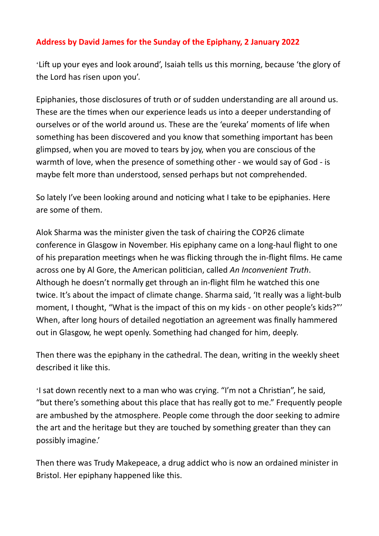## **Address by David James for the Sunday of the Epiphany, 2 January 2022**

'Lift up your eyes and look around', Isaiah tells us this morning, because 'the glory of the Lord has risen upon you'.

Epiphanies, those disclosures of truth or of sudden understanding are all around us. These are the times when our experience leads us into a deeper understanding of ourselves or of the world around us. These are the 'eureka' moments of life when something has been discovered and you know that something important has been glimpsed, when you are moved to tears by joy, when you are conscious of the warmth of love, when the presence of something other - we would say of God - is maybe felt more than understood, sensed perhaps but not comprehended.

So lately I've been looking around and noticing what I take to be epiphanies. Here are some of them.

Alok Sharma was the minister given the task of chairing the COP26 climate conference in Glasgow in November. His epiphany came on a long-haul flight to one of his preparation meetings when he was flicking through the in-flight films. He came across one by Al Gore, the American politician, called *An Inconvenient Truth*. Although he doesn't normally get through an in-flight film he watched this one twice. It's about the impact of climate change. Sharma said, 'It really was a light-bulb moment, I thought, "What is the impact of this on my kids - on other people's kids?"' When, after long hours of detailed negotiation an agreement was finally hammered out in Glasgow, he wept openly. Something had changed for him, deeply.

Then there was the epiphany in the cathedral. The dean, writing in the weekly sheet described it like this.

'I sat down recently next to a man who was crying. "I'm not a Christian", he said, "but there's something about this place that has really got to me." Frequently people are ambushed by the atmosphere. People come through the door seeking to admire the art and the heritage but they are touched by something greater than they can possibly imagine.'

Then there was Trudy Makepeace, a drug addict who is now an ordained minister in Bristol. Her epiphany happened like this.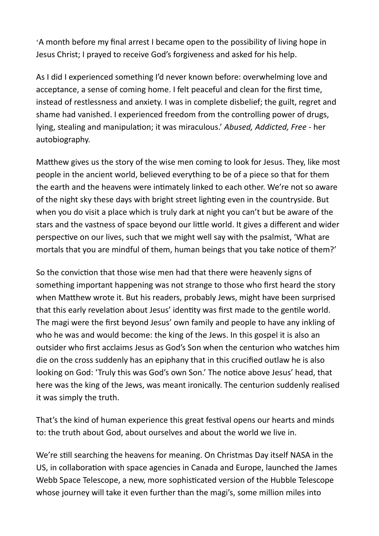'A month before my final arrest I became open to the possibility of living hope in Jesus Christ; I prayed to receive God's forgiveness and asked for his help.

As I did I experienced something I'd never known before: overwhelming love and acceptance, a sense of coming home. I felt peaceful and clean for the first time, instead of restlessness and anxiety. I was in complete disbelief; the guilt, regret and shame had vanished. I experienced freedom from the controlling power of drugs, lying, stealing and manipulation; it was miraculous.' *Abused, Addicted, Free* - her autobiography.

Matthew gives us the story of the wise men coming to look for Jesus. They, like most people in the ancient world, believed everything to be of a piece so that for them the earth and the heavens were intimately linked to each other. We're not so aware of the night sky these days with bright street lighting even in the countryside. But when you do visit a place which is truly dark at night you can't but be aware of the stars and the vastness of space beyond our little world. It gives a different and wider perspective on our lives, such that we might well say with the psalmist, 'What are mortals that you are mindful of them, human beings that you take notice of them?'

So the conviction that those wise men had that there were heavenly signs of something important happening was not strange to those who first heard the story when Matthew wrote it. But his readers, probably Jews, might have been surprised that this early revelation about Jesus' identity was first made to the gentile world. The magi were the first beyond Jesus' own family and people to have any inkling of who he was and would become: the king of the Jews. In this gospel it is also an outsider who first acclaims Jesus as God's Son when the centurion who watches him die on the cross suddenly has an epiphany that in this crucified outlaw he is also looking on God: 'Truly this was God's own Son.' The notice above Jesus' head, that here was the king of the Jews, was meant ironically. The centurion suddenly realised it was simply the truth.

That's the kind of human experience this great festival opens our hearts and minds to: the truth about God, about ourselves and about the world we live in.

We're still searching the heavens for meaning. On Christmas Day itself NASA in the US, in collaboration with space agencies in Canada and Europe, launched the James Webb Space Telescope, a new, more sophisticated version of the Hubble Telescope whose journey will take it even further than the magi's, some million miles into